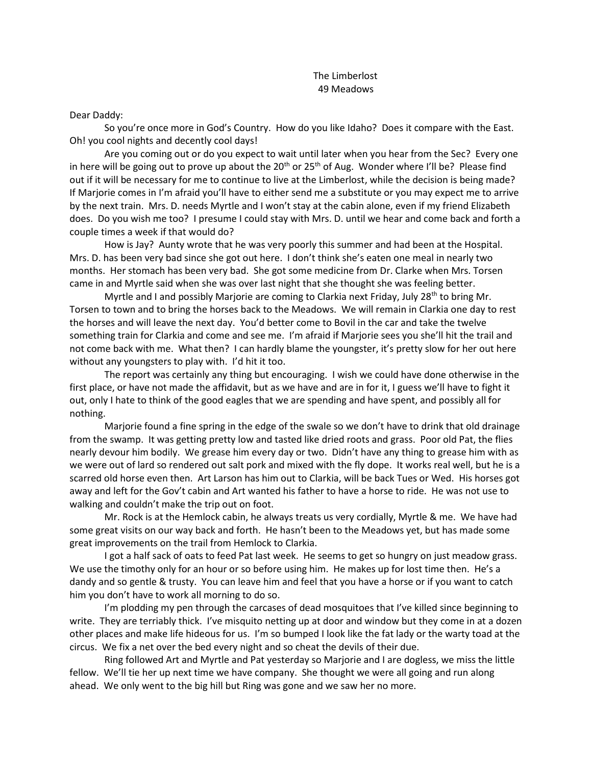## The Limberlost 49 Meadows

Dear Daddy:

So you're once more in God's Country. How do you like Idaho? Does it compare with the East. Oh! you cool nights and decently cool days!

Are you coming out or do you expect to wait until later when you hear from the Sec? Every one in here will be going out to prove up about the  $20<sup>th</sup>$  or  $25<sup>th</sup>$  of Aug. Wonder where I'll be? Please find out if it will be necessary for me to continue to live at the Limberlost, while the decision is being made? If Marjorie comes in I'm afraid you'll have to either send me a substitute or you may expect me to arrive by the next train. Mrs. D. needs Myrtle and I won't stay at the cabin alone, even if my friend Elizabeth does. Do you wish me too? I presume I could stay with Mrs. D. until we hear and come back and forth a couple times a week if that would do?

How is Jay? Aunty wrote that he was very poorly this summer and had been at the Hospital. Mrs. D. has been very bad since she got out here. I don't think she's eaten one meal in nearly two months. Her stomach has been very bad. She got some medicine from Dr. Clarke when Mrs. Torsen came in and Myrtle said when she was over last night that she thought she was feeling better.

Myrtle and I and possibly Marjorie are coming to Clarkia next Friday, July 28<sup>th</sup> to bring Mr. Torsen to town and to bring the horses back to the Meadows. We will remain in Clarkia one day to rest the horses and will leave the next day. You'd better come to Bovil in the car and take the twelve something train for Clarkia and come and see me. I'm afraid if Marjorie sees you she'll hit the trail and not come back with me. What then? I can hardly blame the youngster, it's pretty slow for her out here without any youngsters to play with. I'd hit it too.

The report was certainly any thing but encouraging. I wish we could have done otherwise in the first place, or have not made the affidavit, but as we have and are in for it, I guess we'll have to fight it out, only I hate to think of the good eagles that we are spending and have spent, and possibly all for nothing.

Marjorie found a fine spring in the edge of the swale so we don't have to drink that old drainage from the swamp. It was getting pretty low and tasted like dried roots and grass. Poor old Pat, the flies nearly devour him bodily. We grease him every day or two. Didn't have any thing to grease him with as we were out of lard so rendered out salt pork and mixed with the fly dope. It works real well, but he is a scarred old horse even then. Art Larson has him out to Clarkia, will be back Tues or Wed. His horses got away and left for the Gov't cabin and Art wanted his father to have a horse to ride. He was not use to walking and couldn't make the trip out on foot.

Mr. Rock is at the Hemlock cabin, he always treats us very cordially, Myrtle & me. We have had some great visits on our way back and forth. He hasn't been to the Meadows yet, but has made some great improvements on the trail from Hemlock to Clarkia.

I got a half sack of oats to feed Pat last week. He seems to get so hungry on just meadow grass. We use the timothy only for an hour or so before using him. He makes up for lost time then. He's a dandy and so gentle & trusty. You can leave him and feel that you have a horse or if you want to catch him you don't have to work all morning to do so.

I'm plodding my pen through the carcases of dead mosquitoes that I've killed since beginning to write. They are terriably thick. I've misquito netting up at door and window but they come in at a dozen other places and make life hideous for us. I'm so bumped I look like the fat lady or the warty toad at the circus. We fix a net over the bed every night and so cheat the devils of their due.

Ring followed Art and Myrtle and Pat yesterday so Marjorie and I are dogless, we miss the little fellow. We'll tie her up next time we have company. She thought we were all going and run along ahead. We only went to the big hill but Ring was gone and we saw her no more.